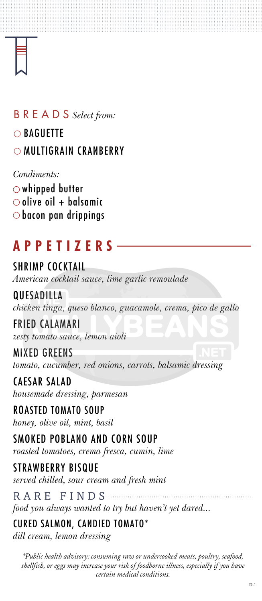# **APPETIZERS**

### BREADS *Select from:*

# ○ BAGUETTE

## O MULTIGRAIN CRANBERRY

## SHRIMP COCKTAIL

*American cocktail sauce, lime garlic remoulade*

#### **QUESADILLA** *chicken tinga, queso blanco, guacamole, crema, pico de gallo* FRIED CALAMARI

*zesty tomato sauce, lemon aioli*

MIXED GREENS

*tomato, cucumber, red onions, carrots, balsamic dressing*

CAESAR SALAD

*housemade dressing, parmesan*

#### ROASTED TOMATO SOUP

*honey, olive oil, mint, basil*

#### SMOKED POBLANO AND CORN SOUP

*roasted tomatoes, crema fresca, cumin, lime*

#### STRAWBERRY BISQUE

*served chilled, sour cream and fresh mint*

RARE FINDS

*food you always wanted to try but haven't yet dared...*

# CURED SALMON, CANDIED TOMATO\*

*dill cream, lemon dressing*

#### *Condiments:*

 $\circlearrowright$  whipped butter  $\circ$  olive oil + balsamic  $\circlearrowright$  bacon pan drippings

*\*Public health advisory: consuming raw or undercooked meats, poultry, seafood, shellfish, or eggs may increase your risk of foodborne illness, especially if you have certain medical conditions.*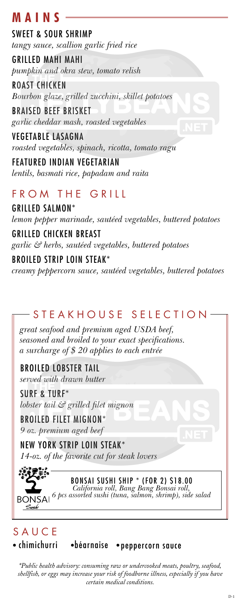# **M A I N S**

#### SWEET & SOUR SHRIMP

*tangy sauce, scallion garlic fried rice*

GRILLED MAHI MAHI *pumpkin and okra stew, tomato relish*

ROAST CHICKEN *Bourbon glaze, grilled zucchini, skillet potatoes*

BRAISED BEEF BRISKET *garlic cheddar mash, roasted vegetables*

VEGETABLE LASAGNA *roasted vegetables, spinach, ricotta, tomato ragu*

FEATURED INDIAN VEGETARIAN *lentils, basmati rice, papadam and raita*

# FROM THE GRILL

GRILLED SALMON\*

*lemon pepper marinade, sautéed vegetables, buttered potatoes*

#### GRILLED CHICKEN BREAST

*garlic & herbs, sautéed vegetables, buttered potatoes*

### BROILED STRIP LOIN STEAK\*

*creamy peppercorn sauce, sautéed vegetables, buttered potatoes* 

## STEAKHOUSE SELECTION

*\*Public health advisory: consuming raw or undercooked meats, poultry, seafood, shellfish, or eggs may increase your risk of foodborne illness, especially if you have certain medical conditions.*

*great seafood and premium aged USDA beef, seasoned and broiled to your exact specifications. a surcharge of \$ 20 applies to each entrée*

BROILED LOBSTER TAIL *served with drawn butter*

SURF & TURF\* *lobster tail & grilled filet mignon*

BROILED FILET MIGNON\*

*9 oz. premium aged beef*

NEW YORK STRIP LOIN STEAK\* *14-oz. of the favorite cut for steak lovers*

### BONSAI SUSHI SHIP \* (FOR 2) \$18.00

*California roll, Bang Bang Bonsai roll, 6 pcs assorted sushi (tuna, salmon, shrimp), side salad*

# **SAUCE**

**BONSAI** 

Sushi

#### · chimichurri · · béarnaise · peppercorn sauce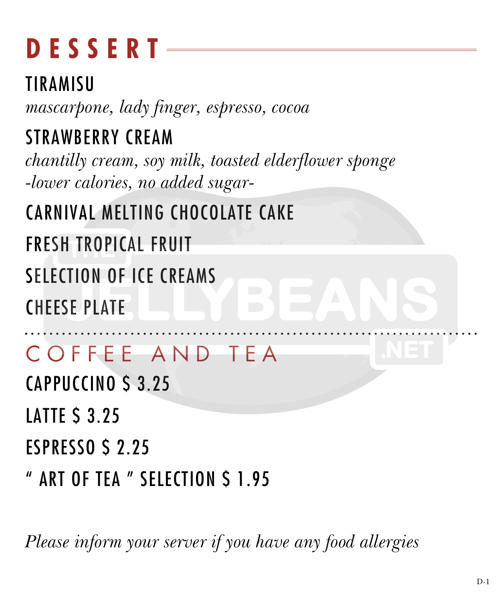# **DESSERT**

TIRAMISU *mascarpone, lady finger, espresso, cocoa* STRAWBERRY CREAM *chantilly cream, soy milk, toasted elderflower sponge -lower calories, no added sugar-*

CARNIVAL MELTING CHOCOLATE CAKE

FRESH TROPICAL FRUIT

SELECTION OF ICE CREAMS

CHEESE PLATE

## COFFEE AND TEA

CAPPUCCINO \$ 3.25

**LATTE S 3.25** 

ESPRESSO \$ 2.25

ART OF TEA " SELECTION \$ 1.95

*Please inform your server if you have any food allergies*